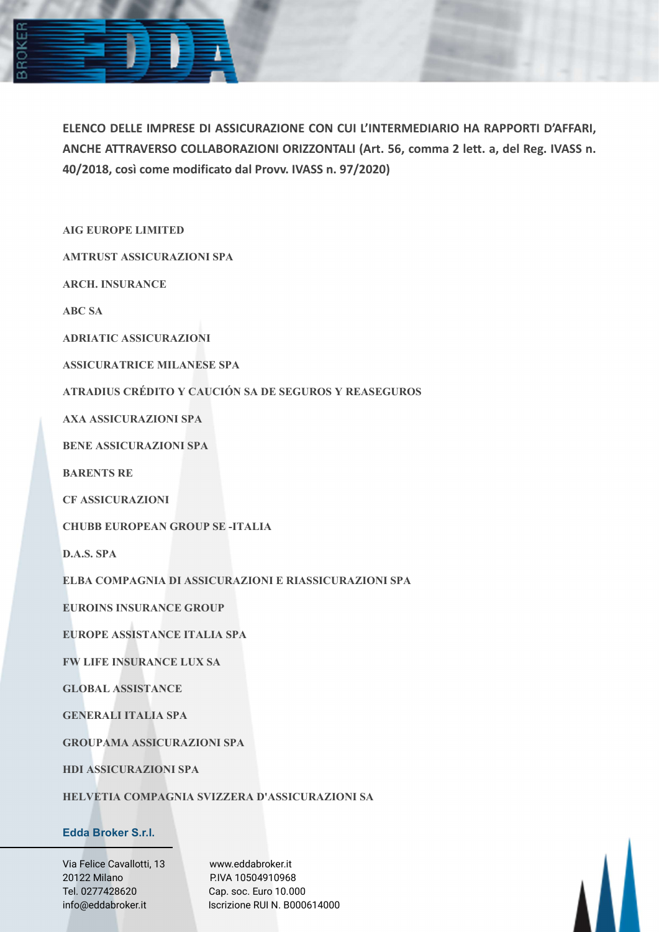

ELENCO DELLE IMPRESE DI ASSICURAZIONE CON CUI L'INTERMEDIARIO HA RAPPORTI D'AFFARI, ANCHE ATTRAVERSO COLLABORAZIONI ORIZZONTALI (Art. 56, comma 2 lett. a, del Reg. IVASS n. 40/2018, così come modificato dal Provv. IVASS n. 97/2020)

AIG EUROPE LIMITED

AMTRUST ASSICURAZIONI SPA

ARCH. INSURANCE

ABC SA

ADRIATIC ASSICURAZIONI

ASSICURATRICE MILANESE SPA

ATRADIUS CRÉDITO Y CAUCIÓN SA DE SEGUROS Y REASEGUROS

AXA ASSICURAZIONI SPA

BENE ASSICURAZIONI SPA

BARENTS RE

CF ASSICURAZIONI

CHUBB EUROPEAN GROUP SE -ITALIA

D.A.S. SPA

ELBA COMPAGNIA DI ASSICURAZIONI E RIASSICURAZIONI SPA

EUROINS INSURANCE GROUP

EUROPE ASSISTANCE ITALIA SPA

FW LIFE INSURANCE LUX SA

GLOBAL ASSISTANCE

GENERALI ITALIA SPA

GROUPAMA ASSICURAZIONI SPA

HDI ASSICURAZIONI SPA

HELVETIA COMPAGNIA SVIZZERA D'ASSICURAZIONI SA

## Edda Broker S.r.l.

Via Felice Cavallotti, 13 www.eddabroker.it 20122 Milano P.IVA 10504910968 Tel. 0277428620 Cap. soc. Euro 10.000

info@eddabroker.it Iscrizione RUI N. B000614000